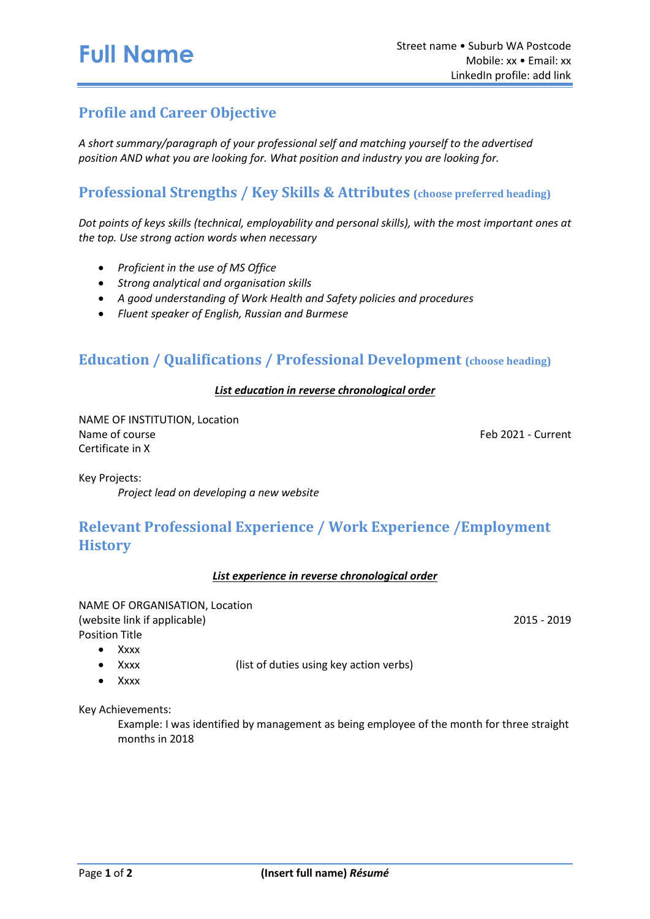## **Profile and Career Objective**

*A short summary/paragraph of your professional self and matching yourself to the advertised position AND what you are looking for. What position and industry you are looking for.*

#### **Professional Strengths / Key Skills & Attributes (choose preferred heading)**

*Dot points of keys skills (technical, employability and personal skills), with the most important ones at the top. Use strong action words when necessary*

- *Proficient in the use of MS Office*
- *Strong analytical and organisation skills*
- *A good understanding of Work Health and Safety policies and procedures*
- *Fluent speaker of English, Russian and Burmese*

#### **Education / Qualifications / Professional Development (choose heading)**

#### *List education in reverse chronological order*

NAME OF INSTITUTION, Location Name of course Feb 2021 - Current Certificate in X

Key Projects:

*Project lead on developing a new website* 

## **Relevant Professional Experience / Work Experience /Employment History**

#### *List experience in reverse chronological order*

NAME OF ORGANISATION, Location (website link if applicable) 2015 - 2019 Position Title

- Xxxx
- Xxxx (list of duties using key action verbs)
- Xxxx

Key Achievements:

Example: I was identified by management as being employee of the month for three straight months in 2018